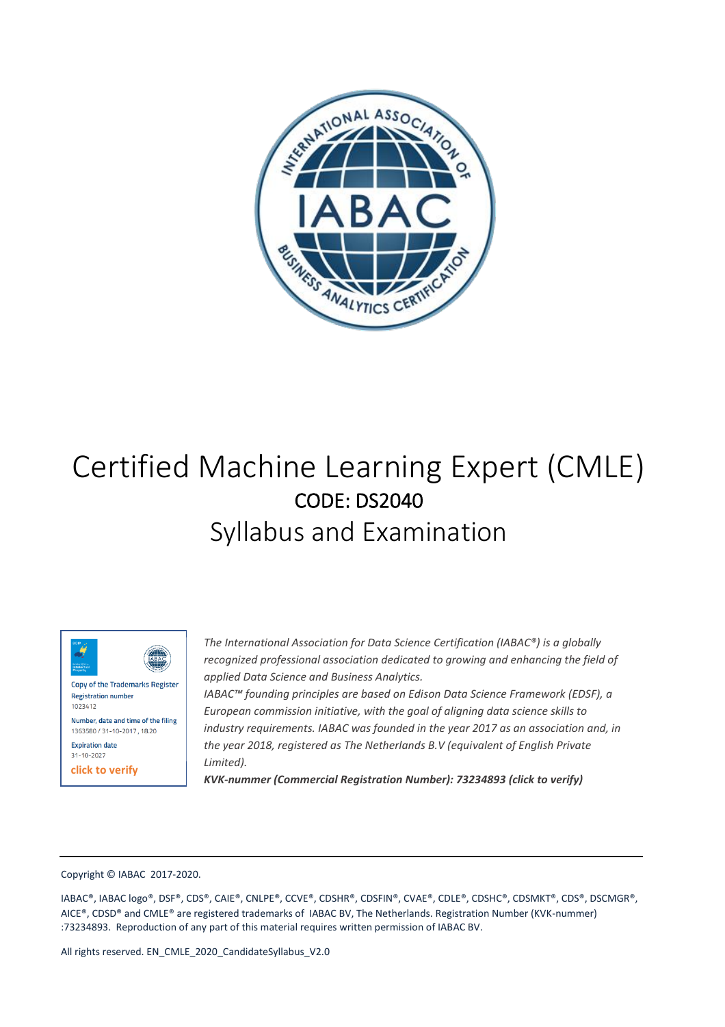

# Certified Machine Learning Expert (CMLE) CODE: DS2040 Syllabus and Examination



Copy of the Trademarks Register **Registration number** 1023412

Number, date and time of the filing 1363580 / 31-10-2017, 18.20 **Expiration date** 

31-10-2027

**click to verify**

*The International Association for Data Science Certification (IABAC®) is a globally recognized professional association dedicated to growing and enhancing the field of applied Data Science and Business Analytics.*

*IABAC™ founding principles are based on Edison Data Science Framework (EDSF), a European commission initiative, with the goal of aligning data science skills to industry requirements. IABAC was founded in the year 2017 as an association and, in the year 2018, registered as The Netherlands B.V (equivalent of English Private Limited).*

*KVK-nummer (Commercial Registration Number): 73234893 (click to verify)*

#### Copyright © IABAC 2017-2020.

IABAC®, IABAC logo®, DSF®, CDS®, CAIE®, CNLPE®, CCVE®, CDSHR®, CDSFIN®, CVAE®, CDLE®, CDSHC®, CDSMKT®, CDS®, DSCMGR®, AICE®, CDSD® and CMLE® are registered trademarks of IABAC BV, The Netherlands. Registration Number (KVK-nummer) :73234893. Reproduction of any part of this material requires written permission of IABAC BV.

All rights reserved. EN\_CMLE\_2020\_CandidateSyllabus\_V2.0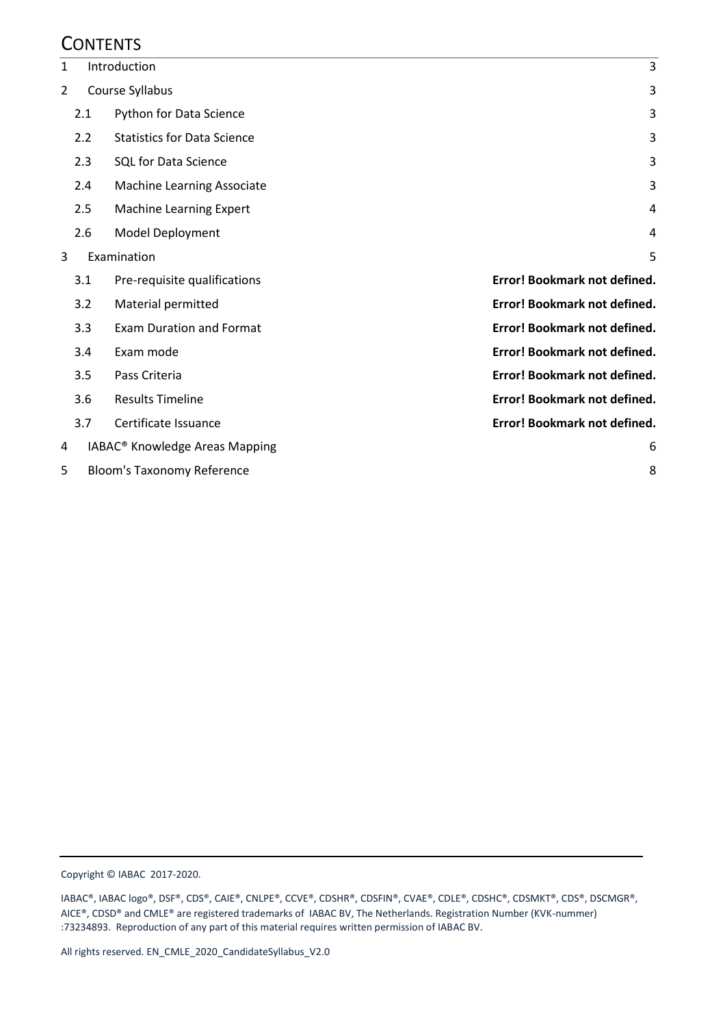## **CONTENTS**

| 1 |                                        | Introduction                               |                              |
|---|----------------------------------------|--------------------------------------------|------------------------------|
| 2 | Course Syllabus                        |                                            | 3                            |
|   | 2.1                                    | Python for Data Science                    | 3                            |
|   | 2.2                                    | <b>Statistics for Data Science</b>         | 3                            |
|   | 2.3                                    | <b>SQL for Data Science</b>                | 3                            |
|   | 2.4                                    | Machine Learning Associate                 | 3                            |
|   | 2.5                                    | <b>Machine Learning Expert</b>             | 4                            |
|   | 2.6                                    | Model Deployment                           | 4                            |
| 3 | Examination                            |                                            | 5                            |
|   | 3.1                                    | Pre-requisite qualifications               | Error! Bookmark not defined. |
|   | 3.2                                    | Material permitted                         | Error! Bookmark not defined. |
|   | 3.3                                    | <b>Exam Duration and Format</b>            | Error! Bookmark not defined. |
|   | 3.4                                    | Exam mode                                  | Error! Bookmark not defined. |
|   | 3.5                                    | Pass Criteria                              | Error! Bookmark not defined. |
|   | 3.6                                    | <b>Results Timeline</b>                    | Error! Bookmark not defined. |
|   | 3.7                                    | Certificate Issuance                       | Error! Bookmark not defined. |
| 4 |                                        | IABAC <sup>®</sup> Knowledge Areas Mapping | 6                            |
| 5 | <b>Bloom's Taxonomy Reference</b><br>8 |                                            |                              |

Copyright © IABAC 2017-2020.

IABAC®, IABAC logo®, DSF®, CDS®, CAIE®, CNLPE®, CCVE®, CDSHR®, CDSFIN®, CVAE®, CDLE®, CDSHC®, CDSMKT®, CDS®, DSCMGR®, AICE®, CDSD® and CMLE® are registered trademarks of IABAC BV, The Netherlands. Registration Number (KVK-nummer) :73234893. Reproduction of any part of this material requires written permission of IABAC BV.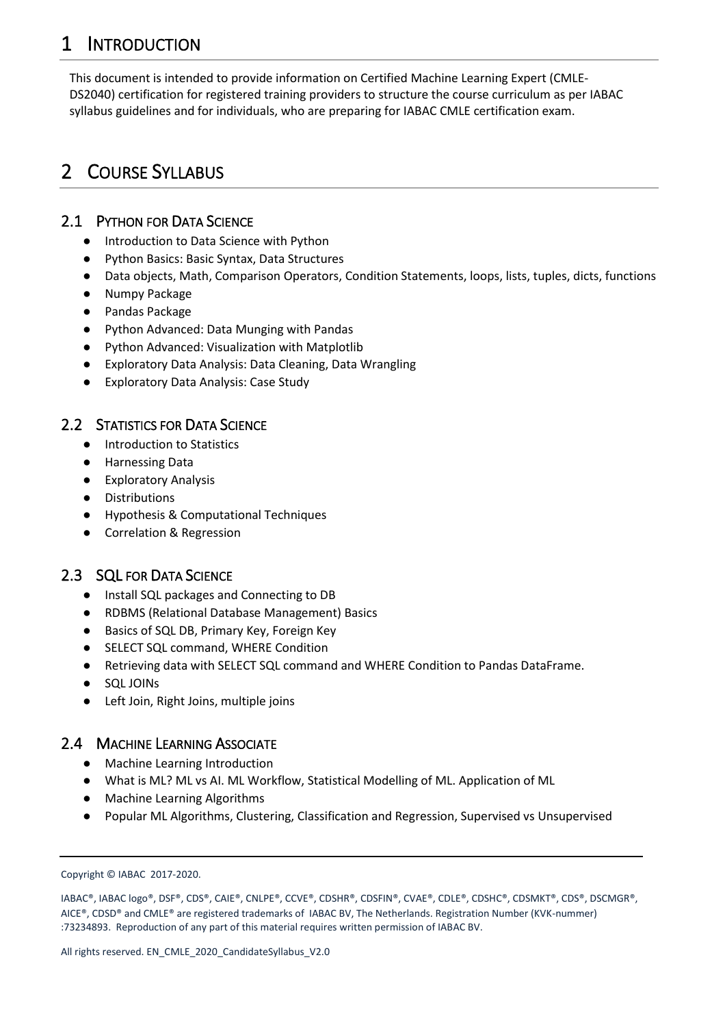## <span id="page-2-0"></span>1 INTRODUCTION

This document is intended to provide information on Certified Machine Learning Expert (CMLE-DS2040) certification for registered training providers to structure the course curriculum as per IABAC syllabus guidelines and for individuals, who are preparing for IABAC CMLE certification exam.

## <span id="page-2-1"></span>2 COURSE SYLLABUS

## <span id="page-2-2"></span>2.1 PYTHON FOR DATA SCIENCE

- Introduction to Data Science with Python
- Python Basics: Basic Syntax, Data Structures
- Data objects, Math, Comparison Operators, Condition Statements, loops, lists, tuples, dicts, functions
- **Numpy Package**
- Pandas Package
- Python Advanced: Data Munging with Pandas
- Python Advanced: Visualization with Matplotlib
- Exploratory Data Analysis: Data Cleaning, Data Wrangling
- **Exploratory Data Analysis: Case Study**

## <span id="page-2-3"></span>2.2 STATISTICS FOR DATA SCIENCE

- Introduction to Statistics
- Harnessing Data
- Exploratory Analysis
- Distributions
- Hypothesis & Computational Techniques
- Correlation & Regression

## <span id="page-2-4"></span>2.3 SQL FOR DATA SCIENCE

- Install SQL packages and Connecting to DB
- RDBMS (Relational Database Management) Basics
- Basics of SQL DB, Primary Key, Foreign Key
- SELECT SQL command, WHERE Condition
- Retrieving data with SELECT SQL command and WHERE Condition to Pandas DataFrame.
- SQL JOINs
- Left Join, Right Joins, multiple joins

### <span id="page-2-5"></span>2.4 MACHINE LEARNING ASSOCIATE

- Machine Learning Introduction
- What is ML? ML vs AI. ML Workflow, Statistical Modelling of ML. Application of ML
- Machine Learning Algorithms
- Popular ML Algorithms, Clustering, Classification and Regression, Supervised vs Unsupervised

Copyright © IABAC 2017-2020.

IABAC®, IABAC logo®, DSF®, CDS®, CAIE®, CNLPE®, CCVE®, CDSHR®, CDSFIN®, CVAE®, CDLE®, CDSHC®, CDSMKT®, CDS®, DSCMGR®, AICE®, CDSD® and CMLE® are registered trademarks of IABAC BV, The Netherlands. Registration Number (KVK-nummer) :73234893. Reproduction of any part of this material requires written permission of IABAC BV.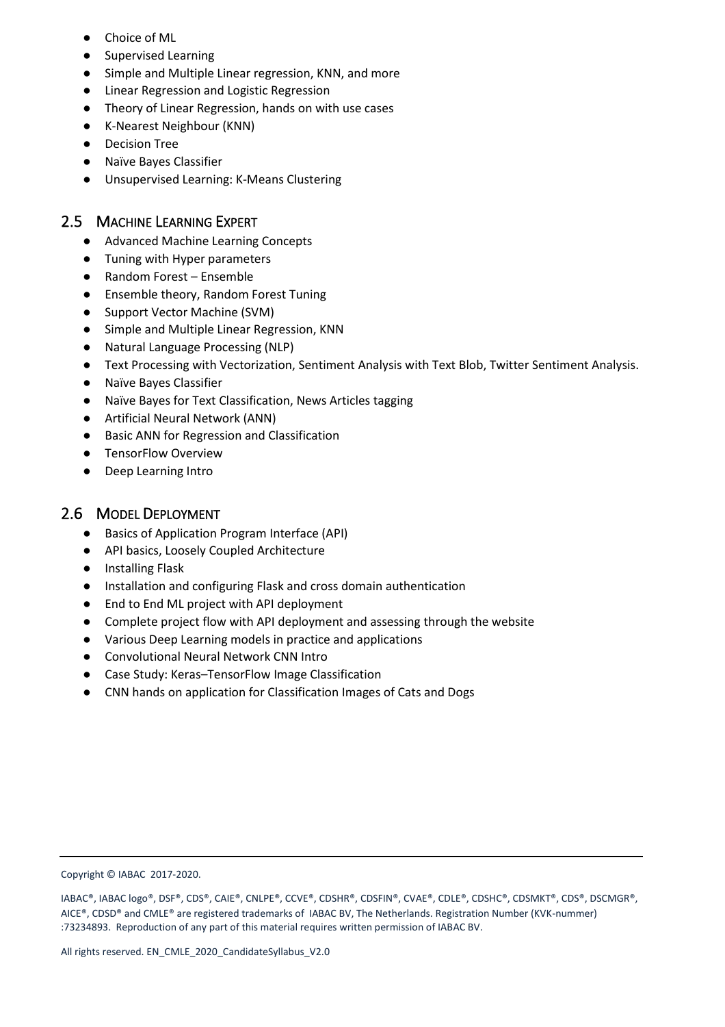- Choice of ML
- **Supervised Learning**
- Simple and Multiple Linear regression, KNN, and more
- Linear Regression and Logistic Regression
- Theory of Linear Regression, hands on with use cases
- K-Nearest Neighbour (KNN)
- **Decision Tree**
- Naïve Bayes Classifier
- Unsupervised Learning: K-Means Clustering

### <span id="page-3-0"></span>2.5 MACHINE LEARNING EXPERT

- Advanced Machine Learning Concepts
- Tuning with Hyper parameters
- Random Forest Ensemble
- Ensemble theory, Random Forest Tuning
- Support Vector Machine (SVM)
- Simple and Multiple Linear Regression, KNN
- Natural Language Processing (NLP)
- Text Processing with Vectorization, Sentiment Analysis with Text Blob, Twitter Sentiment Analysis.
- **Naïve Bayes Classifier**
- Naïve Bayes for Text Classification, News Articles tagging
- Artificial Neural Network (ANN)
- Basic ANN for Regression and Classification
- TensorFlow Overview
- **Deep Learning Intro**

### <span id="page-3-1"></span>2.6 MODEL DEPLOYMENT

- Basics of Application Program Interface (API)
- API basics, Loosely Coupled Architecture
- Installing Flask
- Installation and configuring Flask and cross domain authentication
- End to End ML project with API deployment
- Complete project flow with API deployment and assessing through the website
- Various Deep Learning models in practice and applications
- Convolutional Neural Network CNN Intro
- Case Study: Keras–TensorFlow Image Classification
- CNN hands on application for Classification Images of Cats and Dogs

#### Copyright © IABAC 2017-2020.

IABAC®, IABAC logo®, DSF®, CDS®, CAIE®, CNLPE®, CCVE®, CDSHR®, CDSFIN®, CVAE®, CDLE®, CDSHC®, CDSMKT®, CDS®, DSCMGR®, AICE®, CDSD® and CMLE® are registered trademarks of IABAC BV, The Netherlands. Registration Number (KVK-nummer) :73234893. Reproduction of any part of this material requires written permission of IABAC BV.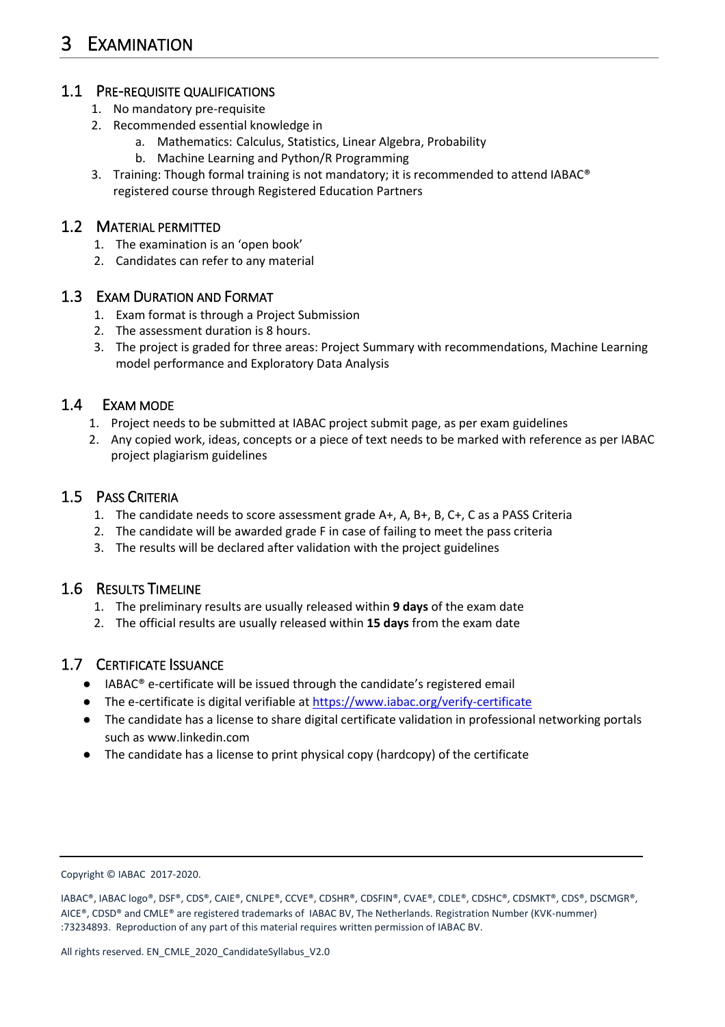## <span id="page-4-0"></span>1.1 PRE-REQUISITE QUALIFICATIONS

- 1. No mandatory pre-requisite
- 2. Recommended essential knowledge in
	- a. Mathematics: Calculus, Statistics, Linear Algebra, Probability
	- b. Machine Learning and Python/R Programming
- 3. Training: Though formal training is not mandatory; it is recommended to attend IABAC® registered course through Registered Education Partners

## 1.2 MATERIAL PERMITTED

- 1. The examination is an 'open book'
- 2. Candidates can refer to any material

## 1.3 EXAM DURATION AND FORMAT

- 1. Exam format is through a Project Submission
- 2. The assessment duration is 8 hours.
- 3. The project is graded for three areas: Project Summary with recommendations, Machine Learning model performance and Exploratory Data Analysis

## 1.4 EXAM MODE

- 1. Project needs to be submitted at IABAC project submit page, as per exam guidelines
- 2. Any copied work, ideas, concepts or a piece of text needs to be marked with reference as per IABAC project plagiarism guidelines

## 1.5 PASS CRITERIA

- 1. The candidate needs to score assessment grade A+, A, B+, B, C+, C as a PASS Criteria
- 2. The candidate will be awarded grade F in case of failing to meet the pass criteria
- 3. The results will be declared after validation with the project guidelines

## 1.6 RESULTS TIMELINE

- 1. The preliminary results are usually released within **9 days** of the exam date
- 2. The official results are usually released within **15 days** from the exam date

## 1.7 CERTIFICATE ISSUANCE

- IABAC® e-certificate will be issued through the candidate's registered email
- The e-certificate is digital verifiable a[t https://www.iabac.org/verify-certificate](https://www.iabac.org/verify-certificate)
- The candidate has a license to share digital certificate validation in professional networking portals such as www.linkedin.com
- The candidate has a license to print physical copy (hardcopy) of the certificate

Copyright © IABAC 2017-2020.

IABAC®, IABAC logo®, DSF®, CDS®, CAIE®, CNLPE®, CCVE®, CDSHR®, CDSFIN®, CVAE®, CDLE®, CDSHC®, CDSMKT®, CDS®, DSCMGR®, AICE®, CDSD® and CMLE® are registered trademarks of IABAC BV, The Netherlands. Registration Number (KVK-nummer) :73234893. Reproduction of any part of this material requires written permission of IABAC BV.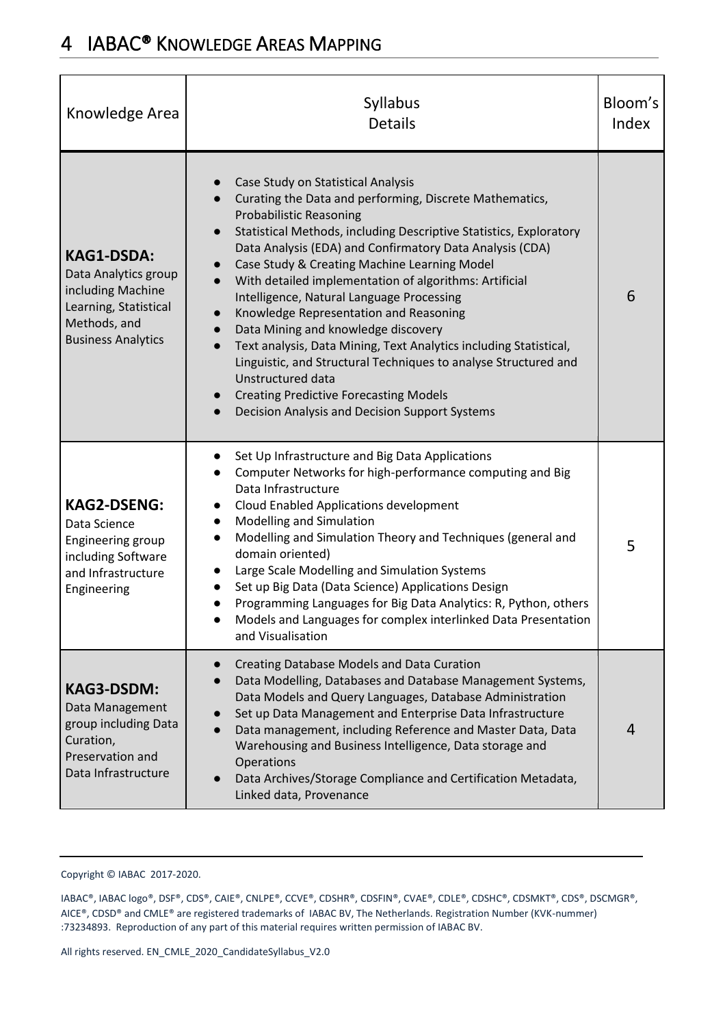## <span id="page-5-0"></span>4 IABAC® KNOWLEDGE AREAS MAPPING

| Knowledge Area                                                                                                                       | Syllabus<br><b>Details</b>                                                                                                                                                                                                                                                                                                                                                                                                                                                                                                                                                                                                                                                                                                                                                                                                                              | Bloom's<br>Index |
|--------------------------------------------------------------------------------------------------------------------------------------|---------------------------------------------------------------------------------------------------------------------------------------------------------------------------------------------------------------------------------------------------------------------------------------------------------------------------------------------------------------------------------------------------------------------------------------------------------------------------------------------------------------------------------------------------------------------------------------------------------------------------------------------------------------------------------------------------------------------------------------------------------------------------------------------------------------------------------------------------------|------------------|
| <b>KAG1-DSDA:</b><br>Data Analytics group<br>including Machine<br>Learning, Statistical<br>Methods, and<br><b>Business Analytics</b> | Case Study on Statistical Analysis<br>Curating the Data and performing, Discrete Mathematics,<br><b>Probabilistic Reasoning</b><br>Statistical Methods, including Descriptive Statistics, Exploratory<br>$\bullet$<br>Data Analysis (EDA) and Confirmatory Data Analysis (CDA)<br>Case Study & Creating Machine Learning Model<br>$\bullet$<br>With detailed implementation of algorithms: Artificial<br>Intelligence, Natural Language Processing<br>Knowledge Representation and Reasoning<br>$\bullet$<br>Data Mining and knowledge discovery<br>$\bullet$<br>Text analysis, Data Mining, Text Analytics including Statistical,<br>$\bullet$<br>Linguistic, and Structural Techniques to analyse Structured and<br>Unstructured data<br><b>Creating Predictive Forecasting Models</b><br>$\bullet$<br>Decision Analysis and Decision Support Systems | 6                |
| <b>KAG2-DSENG:</b><br>Data Science<br>Engineering group<br>including Software<br>and Infrastructure<br>Engineering                   | Set Up Infrastructure and Big Data Applications<br>$\bullet$<br>Computer Networks for high-performance computing and Big<br>Data Infrastructure<br>Cloud Enabled Applications development<br>$\bullet$<br>Modelling and Simulation<br>$\bullet$<br>Modelling and Simulation Theory and Techniques (general and<br>$\bullet$<br>domain oriented)<br>Large Scale Modelling and Simulation Systems<br>$\bullet$<br>Set up Big Data (Data Science) Applications Design<br>Programming Languages for Big Data Analytics: R, Python, others<br>Models and Languages for complex interlinked Data Presentation<br>and Visualisation                                                                                                                                                                                                                            | 5                |
| <b>KAG3-DSDM:</b><br>Data Management<br>group including Data<br>Curation,<br>Preservation and<br>Data Infrastructure                 | Creating Database Models and Data Curation<br>Data Modelling, Databases and Database Management Systems,<br>Data Models and Query Languages, Database Administration<br>Set up Data Management and Enterprise Data Infrastructure<br>Data management, including Reference and Master Data, Data<br>Warehousing and Business Intelligence, Data storage and<br>Operations<br>Data Archives/Storage Compliance and Certification Metadata,<br>Linked data, Provenance                                                                                                                                                                                                                                                                                                                                                                                     | 4                |

Copyright © IABAC 2017-2020.

IABAC®, IABAC logo®, DSF®, CDS®, CAIE®, CNLPE®, CCVE®, CDSHR®, CDSFIN®, CVAE®, CDLE®, CDSHC®, CDSMKT®, CDS®, DSCMGR®, AICE®, CDSD® and CMLE® are registered trademarks of IABAC BV, The Netherlands. Registration Number (KVK-nummer) :73234893. Reproduction of any part of this material requires written permission of IABAC BV.

All rights reserved. EN\_CMLE\_2020\_CandidateSyllabus\_V2.0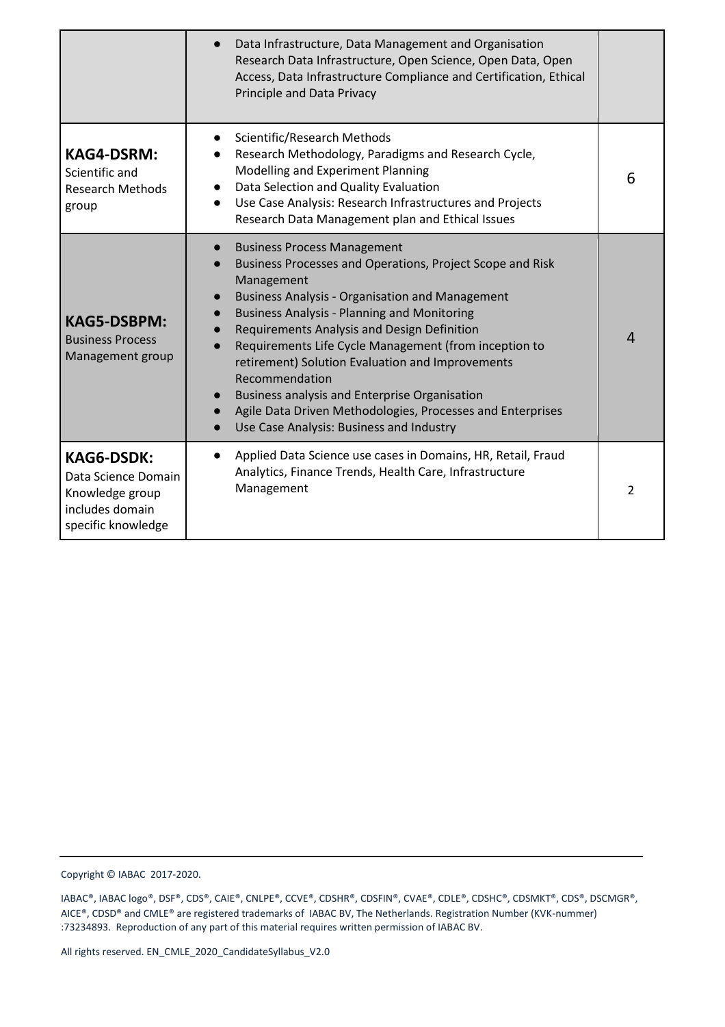|                                                                                                      | Data Infrastructure, Data Management and Organisation<br>Research Data Infrastructure, Open Science, Open Data, Open<br>Access, Data Infrastructure Compliance and Certification, Ethical<br>Principle and Data Privacy                                                                                                                                                                                                                                                                                                                                                                                                                        |                |
|------------------------------------------------------------------------------------------------------|------------------------------------------------------------------------------------------------------------------------------------------------------------------------------------------------------------------------------------------------------------------------------------------------------------------------------------------------------------------------------------------------------------------------------------------------------------------------------------------------------------------------------------------------------------------------------------------------------------------------------------------------|----------------|
| <b>KAG4-DSRM:</b><br>Scientific and<br><b>Research Methods</b><br>group                              | Scientific/Research Methods<br>Research Methodology, Paradigms and Research Cycle,<br>Modelling and Experiment Planning<br>Data Selection and Quality Evaluation<br>$\bullet$<br>Use Case Analysis: Research Infrastructures and Projects<br>Research Data Management plan and Ethical Issues                                                                                                                                                                                                                                                                                                                                                  | 6              |
| <b>KAG5-DSBPM:</b><br><b>Business Process</b><br>Management group                                    | <b>Business Process Management</b><br>$\bullet$<br>Business Processes and Operations, Project Scope and Risk<br>Management<br><b>Business Analysis - Organisation and Management</b><br>$\bullet$<br><b>Business Analysis - Planning and Monitoring</b><br>$\bullet$<br>Requirements Analysis and Design Definition<br>$\bullet$<br>Requirements Life Cycle Management (from inception to<br>retirement) Solution Evaluation and Improvements<br>Recommendation<br><b>Business analysis and Enterprise Organisation</b><br>$\bullet$<br>Agile Data Driven Methodologies, Processes and Enterprises<br>Use Case Analysis: Business and Industry | 4              |
| <b>KAG6-DSDK:</b><br>Data Science Domain<br>Knowledge group<br>includes domain<br>specific knowledge | Applied Data Science use cases in Domains, HR, Retail, Fraud<br>$\bullet$<br>Analytics, Finance Trends, Health Care, Infrastructure<br>Management                                                                                                                                                                                                                                                                                                                                                                                                                                                                                              | $\mathfrak{p}$ |

Copyright © IABAC 2017-2020.

IABAC®, IABAC logo®, DSF®, CDS®, CAIE®, CNLPE®, CCVE®, CDSHR®, CDSFIN®, CVAE®, CDLE®, CDSHC®, CDSMKT®, CDS®, DSCMGR®, AICE®, CDSD® and CMLE® are registered trademarks of IABAC BV, The Netherlands. Registration Number (KVK-nummer) :73234893. Reproduction of any part of this material requires written permission of IABAC BV.